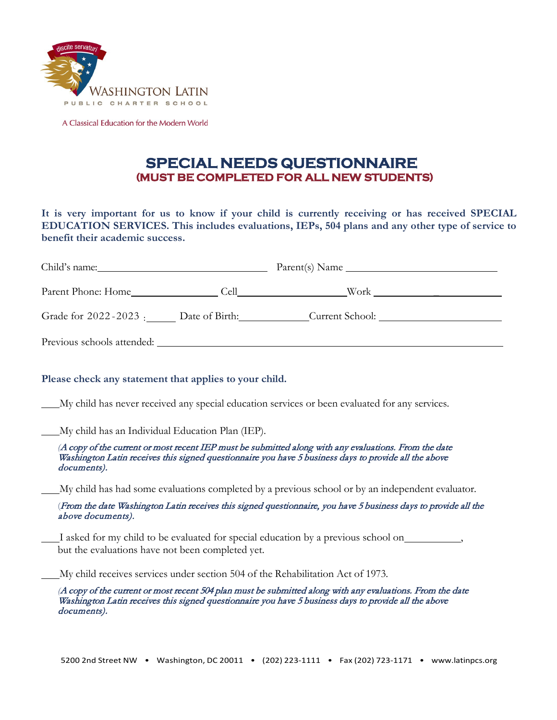

A Classical Education for the Modern World

## **SPECIAL NEEDS QUESTIONNAIRE (MUST BE COMPLETED FOR ALL NEW STUDENTS)**

**It is very important for us to know if your child is currently receiving or has received SPECIAL EDUCATION SERVICES. This includes evaluations, IEPs, 504 plans and any other type of service to benefit their academic success.**

| Child's name:              |  | Parent(s) Name                                       |  |
|----------------------------|--|------------------------------------------------------|--|
|                            |  |                                                      |  |
|                            |  | Grade for 2022-2023 : Date of Birth: Current School: |  |
| Previous schools attended: |  |                                                      |  |

## **Please check any statement that applies to your child.**

My child has never received any special education services or been evaluated for any services.

My child has an Individual Education Plan (IEP).

*(*A copy of the current or most recent IEP must be submitted along with any evaluations. From the date Washington Latin receives this signed questionnaire you have 5 business days to provide all the above documents).

My child has had some evaluations completed by a previous school or by an independent evaluator.

(From the date Washington Latin receives this signed questionnaire, you have 5 business days to provide all the above documents).

I asked for my child to be evaluated for special education by a previous school on but the evaluations have not been completed yet.

My child receives services under section 504 of the Rehabilitation Act of 1973.

*(*A copy of the current or most recent 504 plan must be submitted along with any evaluations. From the date Washington Latin receives this signed questionnaire you have 5 business days to provide all the above documents).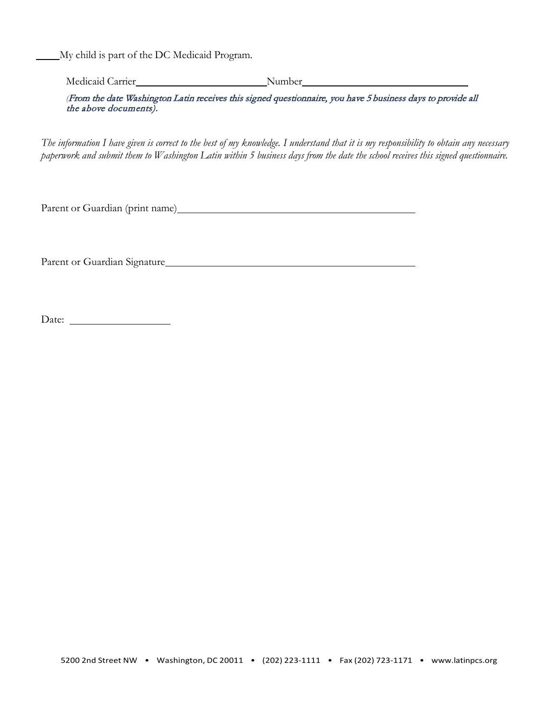My child is part of the DC Medicaid Program.

Medicaid Carrier Number Number Number

*(*From the date Washington Latin receives this signed questionnaire, you have 5 business days to provide all the above documents).

The information I have given is correct to the best of my knowledge. I understand that it is my responsibility to obtain any necessary *paperwork and submit them to Washington Latin within 5 business days from the date the school receives this signed questionnaire.*

Parent or Guardian (print name)

Parent or Guardian Signature

Date: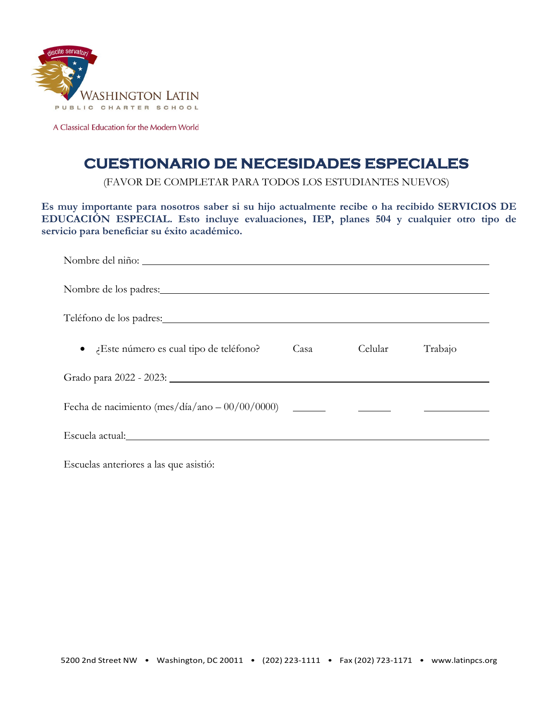

A Classical Education for the Modern World

## **CUESTIONARIO DE NECESIDADES ESPECIALES**

(FAVOR DE COMPLETAR PARA TODOS LOS ESTUDIANTES NUEVOS)

**Es muy importante para nosotros saber si su hijo actualmente recibe o ha recibido SERVICIOS DE EDUCACIÓN ESPECIAL. Esto incluye evaluaciones, IEP, planes 504 y cualquier otro tipo de servicio para beneficiar su éxito académico.**

| Teléfono de los padres: Maria Maria Maria Maria Maria Maria Maria Maria Maria Maria Maria Maria Maria Maria Ma |      |         |         |  |  |  |
|----------------------------------------------------------------------------------------------------------------|------|---------|---------|--|--|--|
| Este número es cual tipo de teléfono?                                                                          | Casa | Celular | Trabajo |  |  |  |
|                                                                                                                |      |         |         |  |  |  |
|                                                                                                                |      |         |         |  |  |  |
|                                                                                                                |      |         |         |  |  |  |

Escuelas anteriores a las que asistió: